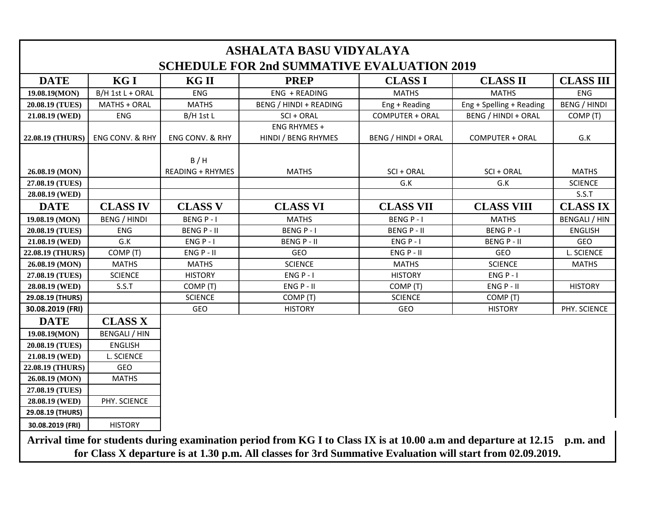| ASHALATA BASU VIDYALAYA                           |                            |                            |                                                                                                                  |                            |                          |                      |  |  |  |  |
|---------------------------------------------------|----------------------------|----------------------------|------------------------------------------------------------------------------------------------------------------|----------------------------|--------------------------|----------------------|--|--|--|--|
| <b>SCHEDULE FOR 2nd SUMMATIVE EVALUATION 2019</b> |                            |                            |                                                                                                                  |                            |                          |                      |  |  |  |  |
| <b>DATE</b>                                       | KG I                       | <b>KG II</b>               | <b>PREP</b>                                                                                                      | <b>CLASS I</b>             | <b>CLASS II</b>          | <b>CLASS III</b>     |  |  |  |  |
| 19.08.19(MON)                                     | B/H 1st L + ORAL           | <b>ENG</b>                 | ENG + READING                                                                                                    | <b>MATHS</b>               | <b>MATHS</b>             | <b>ENG</b>           |  |  |  |  |
| 20.08.19 (TUES)                                   | MATHS + ORAL               | <b>MATHS</b>               | BENG / HINDI + READING                                                                                           | Eng + Reading              | Eng + Spelling + Reading | BENG / HINDI         |  |  |  |  |
| 21.08.19 (WED)                                    | ENG                        | B/H 1st L                  | SCI + ORAL                                                                                                       | <b>COMPUTER + ORAL</b>     | BENG / HINDI + ORAL      | COMP (T)             |  |  |  |  |
| 22.08.19 (THURS)                                  | <b>ENG CONV. &amp; RHY</b> | <b>ENG CONV. &amp; RHY</b> | ENG RHYMES +<br>HINDI / BENG RHYMES                                                                              | <b>BENG / HINDI + ORAL</b> | COMPUTER + ORAL          | G.K                  |  |  |  |  |
|                                                   |                            |                            |                                                                                                                  |                            |                          |                      |  |  |  |  |
|                                                   |                            | B/H                        |                                                                                                                  |                            |                          |                      |  |  |  |  |
| 26.08.19 (MON)                                    |                            | <b>READING + RHYMES</b>    | <b>MATHS</b>                                                                                                     | SCI + ORAL                 | SCI + ORAL               | <b>MATHS</b>         |  |  |  |  |
| 27.08.19 (TUES)                                   |                            |                            |                                                                                                                  | G.K                        | G.K                      | <b>SCIENCE</b>       |  |  |  |  |
| 28.08.19 (WED)                                    |                            |                            |                                                                                                                  |                            |                          | S.S.T                |  |  |  |  |
| <b>DATE</b>                                       | <b>CLASS IV</b>            | <b>CLASS V</b>             | <b>CLASS VI</b>                                                                                                  | <b>CLASS VII</b>           | <b>CLASS VIII</b>        | <b>CLASS IX</b>      |  |  |  |  |
| 19.08.19 (MON)                                    | <b>BENG / HINDI</b>        | <b>BENG P-1</b>            | <b>MATHS</b>                                                                                                     | <b>BENG P-1</b>            | <b>MATHS</b>             | <b>BENGALI / HIN</b> |  |  |  |  |
| 20.08.19 (TUES)                                   | <b>ENG</b>                 | <b>BENG P - II</b>         | <b>BENG P-1</b>                                                                                                  | <b>BENG P-II</b>           | <b>BENG P-1</b>          | <b>ENGLISH</b>       |  |  |  |  |
| 21.08.19 (WED)                                    | G.K                        | $ENG P - I$                | <b>BENG P-II</b>                                                                                                 | $ENG P - I$                | <b>BENG P-II</b>         | GEO                  |  |  |  |  |
| 22.08.19 (THURS)                                  | COMP (T)                   | $ENG$ P - II               | GEO                                                                                                              | ENG P - II                 | GEO                      | L. SCIENCE           |  |  |  |  |
| 26.08.19 (MON)                                    | <b>MATHS</b>               | <b>MATHS</b>               | <b>SCIENCE</b>                                                                                                   | <b>MATHS</b>               | <b>SCIENCE</b>           | <b>MATHS</b>         |  |  |  |  |
| 27.08.19 (TUES)                                   | <b>SCIENCE</b>             | <b>HISTORY</b>             | $ENG P - I$                                                                                                      | <b>HISTORY</b>             | $ENG P - I$              |                      |  |  |  |  |
| 28.08.19 (WED)                                    | S.S.T                      | COMP (T)                   | ENG P - II                                                                                                       | COMP (T)                   | ENG P - II               | <b>HISTORY</b>       |  |  |  |  |
| 29.08.19 (THURS)                                  |                            | <b>SCIENCE</b>             | COMP (T)                                                                                                         | <b>SCIENCE</b>             | COMP (T)                 |                      |  |  |  |  |
| 30.08.2019 (FRI)                                  |                            | GEO                        | <b>HISTORY</b>                                                                                                   | GEO                        | <b>HISTORY</b>           | PHY. SCIENCE         |  |  |  |  |
| <b>DATE</b>                                       | <b>CLASS X</b>             |                            |                                                                                                                  |                            |                          |                      |  |  |  |  |
| 19.08.19(MON)                                     | <b>BENGALI / HIN</b>       |                            |                                                                                                                  |                            |                          |                      |  |  |  |  |
| 20.08.19 (TUES)                                   | <b>ENGLISH</b>             |                            |                                                                                                                  |                            |                          |                      |  |  |  |  |
| 21.08.19 (WED)                                    | L. SCIENCE                 |                            |                                                                                                                  |                            |                          |                      |  |  |  |  |
| 22.08.19 (THURS)                                  | GEO                        |                            |                                                                                                                  |                            |                          |                      |  |  |  |  |
| 26.08.19 (MON)                                    | <b>MATHS</b>               |                            |                                                                                                                  |                            |                          |                      |  |  |  |  |
| 27.08.19 (TUES)                                   |                            |                            |                                                                                                                  |                            |                          |                      |  |  |  |  |
| 28.08.19 (WED)                                    | PHY. SCIENCE               |                            |                                                                                                                  |                            |                          |                      |  |  |  |  |
| 29.08.19 (THURS)                                  |                            |                            |                                                                                                                  |                            |                          |                      |  |  |  |  |
| 30.08.2019 (FRI)                                  | <b>HISTORY</b>             |                            |                                                                                                                  |                            |                          |                      |  |  |  |  |
|                                                   |                            |                            | Arrival time for students during examination period from KG I to Class IX is at 10.00 a.m and departure at 12.15 |                            |                          | p.m. and             |  |  |  |  |
|                                                   |                            |                            | for Class X departure is at 1.30 p.m. All classes for 3rd Summative Evaluation will start from 02.09.2019.       |                            |                          |                      |  |  |  |  |